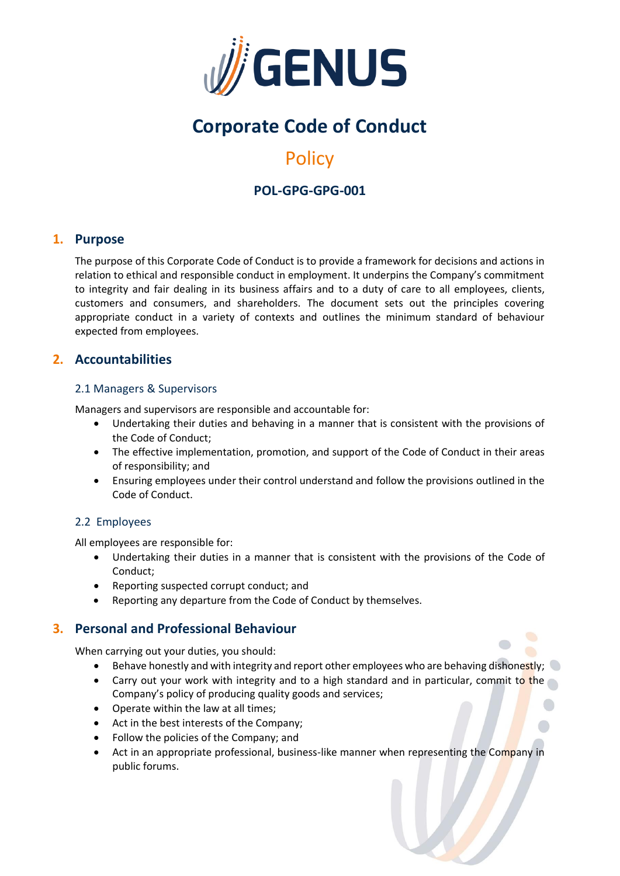

# **Corporate Code of Conduct**

# **Policy**

# **POL-GPG-GPG-001**

# **1. Purpose**

The purpose of this Corporate Code of Conduct is to provide a framework for decisions and actions in relation to ethical and responsible conduct in employment. It underpins the Company's commitment to integrity and fair dealing in its business affairs and to a duty of care to all employees, clients, customers and consumers, and shareholders. The document sets out the principles covering appropriate conduct in a variety of contexts and outlines the minimum standard of behaviour expected from employees.

# **2. Accountabilities**

#### 2.1 Managers & Supervisors

Managers and supervisors are responsible and accountable for:

- Undertaking their duties and behaving in a manner that is consistent with the provisions of the Code of Conduct;
- The effective implementation, promotion, and support of the Code of Conduct in their areas of responsibility; and
- Ensuring employees under their control understand and follow the provisions outlined in the Code of Conduct.

## 2.2 Employees

All employees are responsible for:

- Undertaking their duties in a manner that is consistent with the provisions of the Code of Conduct;
- Reporting suspected corrupt conduct; and
- Reporting any departure from the Code of Conduct by themselves.

# **3. Personal and Professional Behaviour**

When carrying out your duties, you should:

- Behave honestly and with integrity and report other employees who are behaving dishonestly;  $\bigcirc$
- Carry out your work with integrity and to a high standard and in particular, commit to the Company's policy of producing quality goods and services;
- Operate within the law at all times;
- Act in the best interests of the Company;
- Follow the policies of the Company; and
- Act in an appropriate professional, business-like manner when representing the Company in public forums.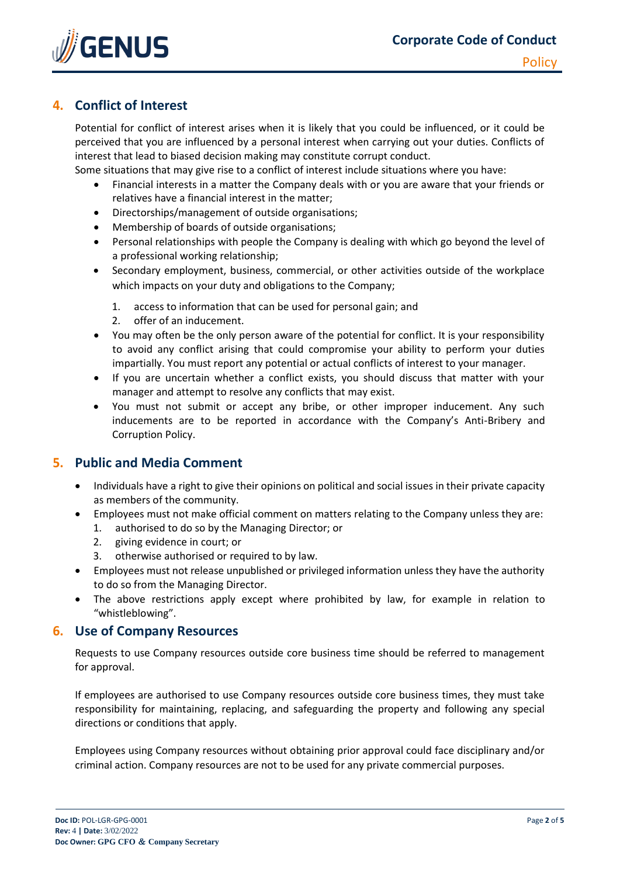

# **4. Conflict of Interest**

Potential for conflict of interest arises when it is likely that you could be influenced, or it could be perceived that you are influenced by a personal interest when carrying out your duties. Conflicts of interest that lead to biased decision making may constitute corrupt conduct.

Some situations that may give rise to a conflict of interest include situations where you have:

- Financial interests in a matter the Company deals with or you are aware that your friends or relatives have a financial interest in the matter;
- Directorships/management of outside organisations;
- Membership of boards of outside organisations;
- Personal relationships with people the Company is dealing with which go beyond the level of a professional working relationship;
- Secondary employment, business, commercial, or other activities outside of the workplace which impacts on your duty and obligations to the Company;
	- 1. access to information that can be used for personal gain; and
	- 2. offer of an inducement.
- You may often be the only person aware of the potential for conflict. It is your responsibility to avoid any conflict arising that could compromise your ability to perform your duties impartially. You must report any potential or actual conflicts of interest to your manager.
- If you are uncertain whether a conflict exists, you should discuss that matter with your manager and attempt to resolve any conflicts that may exist.
- You must not submit or accept any bribe, or other improper inducement. Any such inducements are to be reported in accordance with the Company's Anti-Bribery and Corruption Policy.

# **5. Public and Media Comment**

- Individuals have a right to give their opinions on political and social issues in their private capacity as members of the community.
- Employees must not make official comment on matters relating to the Company unless they are:
	- 1. authorised to do so by the Managing Director; or
	- 2. giving evidence in court; or
	- 3. otherwise authorised or required to by law.
- Employees must not release unpublished or privileged information unless they have the authority to do so from the Managing Director.
- The above restrictions apply except where prohibited by law, for example in relation to "whistleblowing".

## **6. Use of Company Resources**

Requests to use Company resources outside core business time should be referred to management for approval.

If employees are authorised to use Company resources outside core business times, they must take responsibility for maintaining, replacing, and safeguarding the property and following any special directions or conditions that apply.

Employees using Company resources without obtaining prior approval could face disciplinary and/or criminal action. Company resources are not to be used for any private commercial purposes.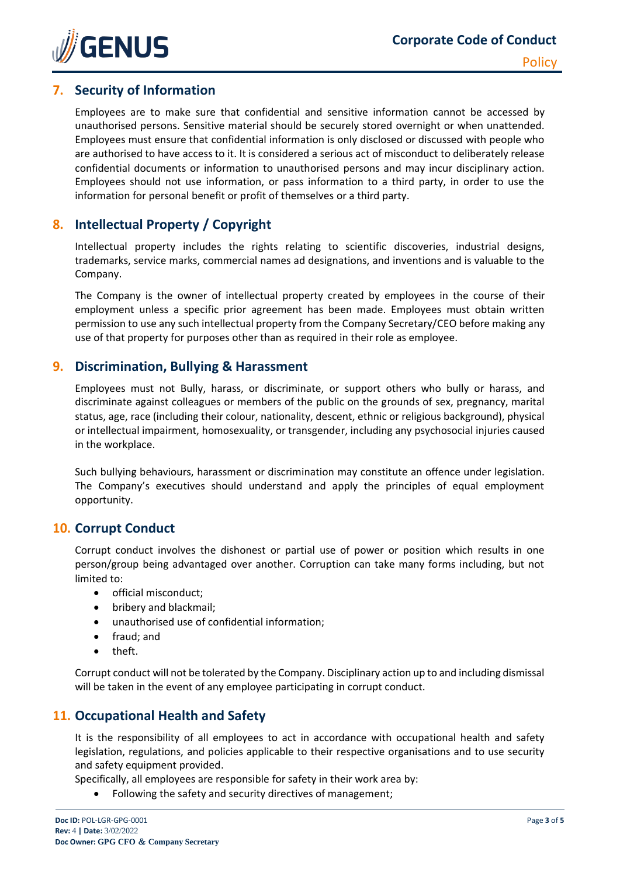

# **7. Security of Information**

Employees are to make sure that confidential and sensitive information cannot be accessed by unauthorised persons. Sensitive material should be securely stored overnight or when unattended. Employees must ensure that confidential information is only disclosed or discussed with people who are authorised to have access to it. It is considered a serious act of misconduct to deliberately release confidential documents or information to unauthorised persons and may incur disciplinary action. Employees should not use information, or pass information to a third party, in order to use the information for personal benefit or profit of themselves or a third party.

# **8. Intellectual Property / Copyright**

Intellectual property includes the rights relating to scientific discoveries, industrial designs, trademarks, service marks, commercial names ad designations, and inventions and is valuable to the Company.

The Company is the owner of intellectual property created by employees in the course of their employment unless a specific prior agreement has been made. Employees must obtain written permission to use any such intellectual property from the Company Secretary/CEO before making any use of that property for purposes other than as required in their role as employee.

# **9. Discrimination, Bullying & Harassment**

Employees must not Bully, harass, or discriminate, or support others who bully or harass, and discriminate against colleagues or members of the public on the grounds of sex, pregnancy, marital status, age, race (including their colour, nationality, descent, ethnic or religious background), physical or intellectual impairment, homosexuality, or transgender, including any psychosocial injuries caused in the workplace.

Such bullying behaviours, harassment or discrimination may constitute an offence under legislation. The Company's executives should understand and apply the principles of equal employment opportunity.

## **10. Corrupt Conduct**

Corrupt conduct involves the dishonest or partial use of power or position which results in one person/group being advantaged over another. Corruption can take many forms including, but not limited to:

- official misconduct;
- bribery and blackmail;
- unauthorised use of confidential information;
- fraud; and
- theft.

Corrupt conduct will not be tolerated by the Company. Disciplinary action up to and including dismissal will be taken in the event of any employee participating in corrupt conduct.

# **11. Occupational Health and Safety**

It is the responsibility of all employees to act in accordance with occupational health and safety legislation, regulations, and policies applicable to their respective organisations and to use security and safety equipment provided.

Specifically, all employees are responsible for safety in their work area by:

• Following the safety and security directives of management;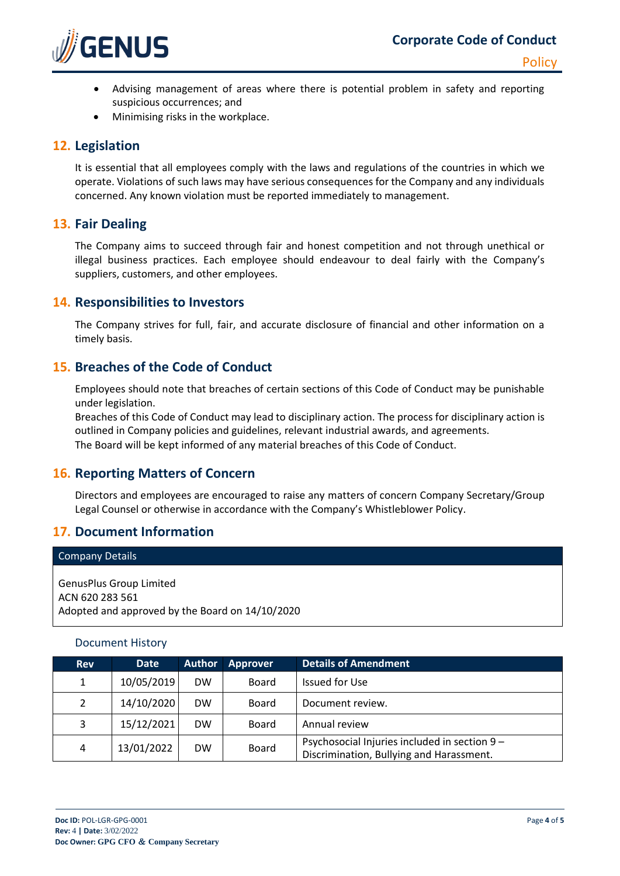

- Advising management of areas where there is potential problem in safety and reporting suspicious occurrences; and
- Minimising risks in the workplace.

#### **12. Legislation**

It is essential that all employees comply with the laws and regulations of the countries in which we operate. Violations of such laws may have serious consequences for the Company and any individuals concerned. Any known violation must be reported immediately to management.

## **13. Fair Dealing**

The Company aims to succeed through fair and honest competition and not through unethical or illegal business practices. Each employee should endeavour to deal fairly with the Company's suppliers, customers, and other employees.

#### **14. Responsibilities to Investors**

The Company strives for full, fair, and accurate disclosure of financial and other information on a timely basis.

## **15. Breaches of the Code of Conduct**

Employees should note that breaches of certain sections of this Code of Conduct may be punishable under legislation.

Breaches of this Code of Conduct may lead to disciplinary action. The process for disciplinary action is outlined in Company policies and guidelines, relevant industrial awards, and agreements. The Board will be kept informed of any material breaches of this Code of Conduct.

## **16. Reporting Matters of Concern**

Directors and employees are encouraged to raise any matters of concern Company Secretary/Group Legal Counsel or otherwise in accordance with the Company's Whistleblower Policy.

## **17. Document Information**

| <b>Company Details</b>                                                                               |
|------------------------------------------------------------------------------------------------------|
| <b>GenusPlus Group Limited</b><br>ACN 620 283 561<br>Adopted and approved by the Board on 14/10/2020 |

#### Document History

| <b>Rev</b>     | <b>Date</b> | <b>Author</b> | Approver | <b>Details of Amendment</b>                                                               |
|----------------|-------------|---------------|----------|-------------------------------------------------------------------------------------------|
| 1              | 10/05/2019  | <b>DW</b>     | Board    | Issued for Use                                                                            |
| $\overline{2}$ | 14/10/2020  | <b>DW</b>     | Board    | Document review.                                                                          |
| 3              | 15/12/2021  | <b>DW</b>     | Board    | Annual review                                                                             |
| 4              | 13/01/2022  | <b>DW</b>     | Board    | Psychosocial Injuries included in section 9 -<br>Discrimination, Bullying and Harassment. |